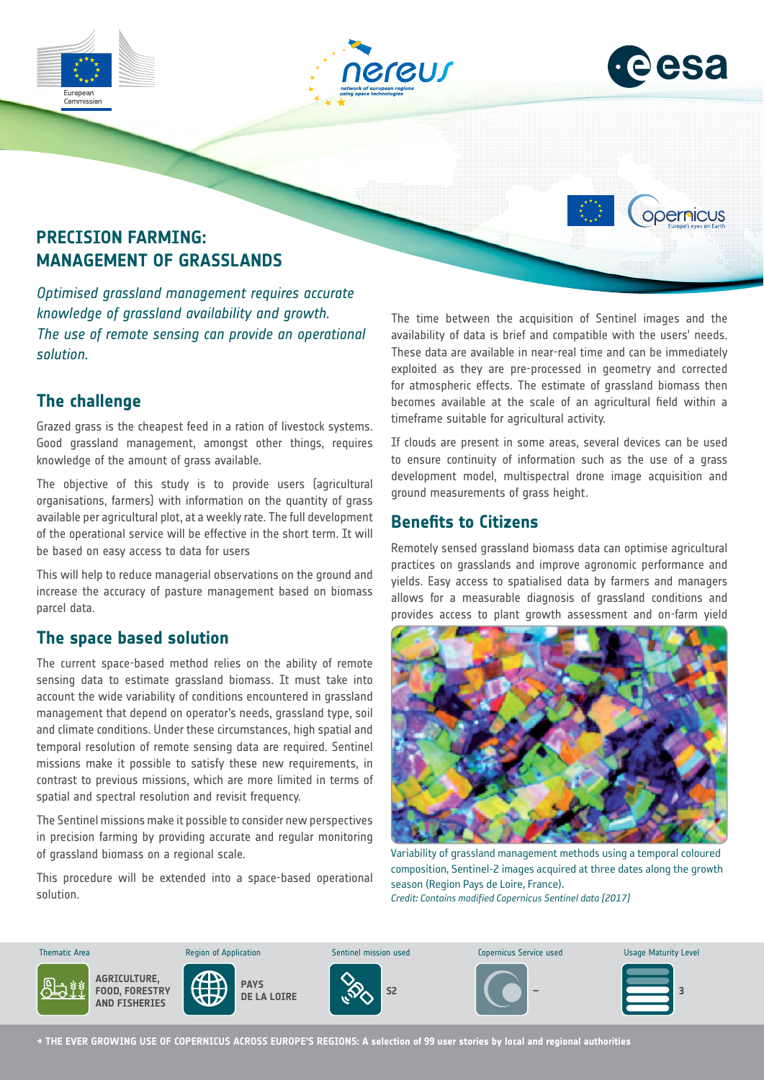



opernicus

# **PRECISION FARMING: MANAGEMENT OF GRASSLANDS**

*Optimised grassland management requires accurate knowledge of grassland availability and growth. The use of remote sensing can provide an operational solution.*

## **The challenge**

Grazed grass is the cheapest feed in a ration of livestock systems. Good grassland management, amongst other things, requires knowledge of the amount of grass available.

The objective of this study is to provide users (agricultural organisations, farmers) with information on the quantity of grass available per agricultural plot, at a weekly rate. The full development of the operational service will be effective in the short term. It will be based on easy access to data for users

This will help to reduce managerial observations on the ground and increase the accuracy of pasture management based on biomass parcel data.

### **The space based solution**

The current space-based method relies on the ability of remote sensing data to estimate grassland biomass. It must take into account the wide variability of conditions encountered in grassland management that depend on operator's needs, grassland type, soil and climate conditions. Under these circumstances, high spatial and temporal resolution of remote sensing data are required. Sentinel missions make it possible to satisfy these new requirements, in contrast to previous missions, which are more limited in terms of spatial and spectral resolution and revisit frequency.

The Sentinel missions make it possible to consider new perspectives in precision farming by providing accurate and regular monitoring of grassland biomass on a regional scale.

This procedure will be extended into a space-based operational solution.

The time between the acquisition of Sentinel images and the availability of data is brief and compatible with the users' needs. These data are available in near-real time and can be immediately exploited as they are pre-processed in geometry and corrected for atmospheric effects. The estimate of grassland biomass then becomes available at the scale of an agricultural field within a timeframe suitable for agricultural activity.

If clouds are present in some areas, several devices can be used to ensure continuity of information such as the use of a grass development model, multispectral drone image acquisition and ground measurements of grass height.

### **Benefits to Citizens**

Remotely sensed grassland biomass data can optimise agricultural practices on grasslands and improve agronomic performance and yields. Easy access to spatialised data by farmers and managers allows for a measurable diagnosis of grassland conditions and provides access to plant growth assessment and on-farm yield



Variability of grassland management methods using a temporal coloured composition, Sentinel-2 images acquired at three dates along the growth season (Region Pays de Loire, France). *Credit: Contains modified Copernicus Sentinel data [2017]*



**AGRICULTURE, FOOD, FORESTRY**

**AND FISHERIES**









**→ THE EVER GROWING USE OF COPERNICUS ACROSS EUROPE'S REGIONS: A selection of 99 user stories by local and regional authorities**